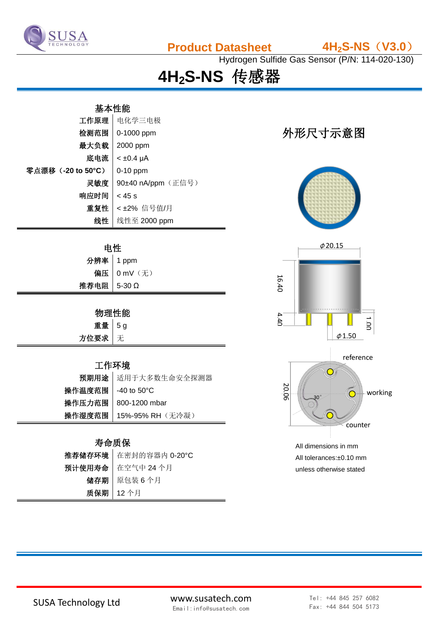

**Product Datasheet 4H2S-NS**(**V3.0**)

Hydrogen Sulfide Gas Sensor (P/N: 114-020-130)

**4H2S-NS** 传感器

## 基本性能

| 工作原理               | 电化学三电极             |
|--------------------|--------------------|
| 检测范围               | 0-1000 ppm         |
| 最大负载               | 2000 ppm           |
| 底电流                | $< \pm 0.4$ µA     |
| 零点漂移 (-20 to 50°C) | $0-10$ ppm         |
| 灵敏度                | 90±40 nA/ppm (正信号) |
| 响应时间               | $<$ 45 s           |
| 重复性                | <±2% 信号值/月         |
| 线性                 | 线性至 2000 ppm       |

| 申性            |               |  |
|---------------|---------------|--|
| 分辨率 1 ppm     |               |  |
|               | 偏压   0 mV (无) |  |
| 推荐电阻   5-30 Ω |               |  |

### 物理性能

| 重量 5g  |  |
|--------|--|
| 方位要求 无 |  |

#### 工作环境

|                      | 预期用途 适用于大多数生命安全探测器        |
|----------------------|---------------------------|
| 操作温度范围   -40 to 50°C |                           |
|                      | 操作压力范围   800-1200 mbar    |
|                      | 操作湿度范围   15%-95% RH (无冷凝) |

### 寿命质保

| 推荐储存环境 在密封的容器内 0-20°C |
|-----------------------|
| 预计使用寿命 在空气中 24 个月     |
| 储存期   原包装6个月          |
| 质保期   12个月            |

# 外形尺寸示意图





All tolerances:±0.10 mm unless otherwise stated

SUSA Technology Ltd www.susatech.com Email:info@susatech.com